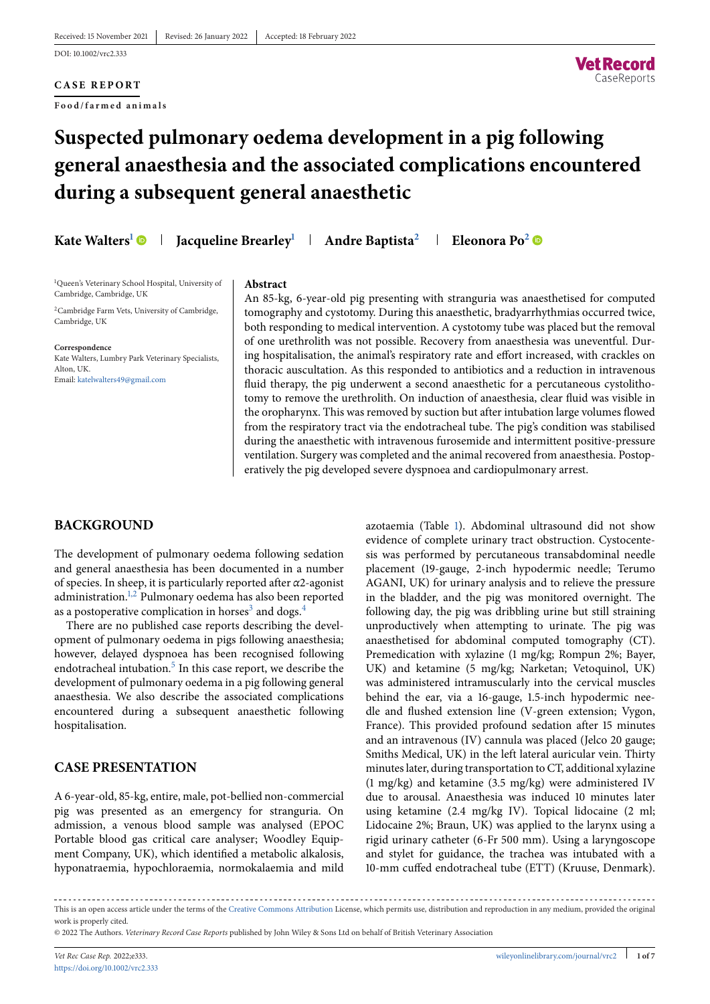# **CASE REPORT**

**Food/farmed animals**



# **Suspected pulmonary oedema development in a pig following general anaesthesia and the associated complications encountered during a subsequent general anaesthetic**

**Kate Walters<sup>1</sup> • Jacqueline Brearley<sup>1</sup> + Andre Baptista<sup>2</sup> + Eleonora Po<sup>2</sup> •** 

<sup>1</sup>Queen's Veterinary School Hospital, University of Cambridge, Cambridge, UK

<sup>2</sup>Cambridge Farm Vets, University of Cambridge, Cambridge, UK

**Correspondence**

Kate Walters, Lumbry Park Veterinary Specialists, Alton, UK. Email: [katelwalters49@gmail.com](mailto:katelwalters49@gmail.com)

#### **Abstract**

An 85-kg, 6-year-old pig presenting with stranguria was anaesthetised for computed tomography and cystotomy. During this anaesthetic, bradyarrhythmias occurred twice, both responding to medical intervention. A cystotomy tube was placed but the removal of one urethrolith was not possible. Recovery from anaesthesia was uneventful. During hospitalisation, the animal's respiratory rate and effort increased, with crackles on thoracic auscultation. As this responded to antibiotics and a reduction in intravenous fluid therapy, the pig underwent a second anaesthetic for a percutaneous cystolithotomy to remove the urethrolith. On induction of anaesthesia, clear fluid was visible in the oropharynx. This was removed by suction but after intubation large volumes flowed from the respiratory tract via the endotracheal tube. The pig's condition was stabilised during the anaesthetic with intravenous furosemide and intermittent positive-pressure ventilation. Surgery was completed and the animal recovered from anaesthesia. Postoperatively the pig developed severe dyspnoea and cardiopulmonary arrest.

# **BACKGROUND**

The development of pulmonary oedema following sedation and general anaesthesia has been documented in a number of species. In sheep, it is particularly reported after *α*2-agonist administration[.1,2](#page-5-0) Pulmonary oedema has also been reported as a postoperative complication in horses<sup>3</sup> and dogs.<sup>4</sup>

There are no published case reports describing the development of pulmonary oedema in pigs following anaesthesia; however, delayed dyspnoea has been recognised following endotracheal intubation.<sup>5</sup> In this case report, we describe the development of pulmonary oedema in a pig following general anaesthesia. We also describe the associated complications encountered during a subsequent anaesthetic following hospitalisation.

# **CASE PRESENTATION**

A 6-year-old, 85-kg, entire, male, pot-bellied non-commercial pig was presented as an emergency for stranguria. On admission, a venous blood sample was analysed (EPOC Portable blood gas critical care analyser; Woodley Equipment Company, UK), which identified a metabolic alkalosis, hyponatraemia, hypochloraemia, normokalaemia and mild azotaemia (Table [1\)](#page-1-0). Abdominal ultrasound did not show evidence of complete urinary tract obstruction. Cystocentesis was performed by percutaneous transabdominal needle placement (19-gauge, 2-inch hypodermic needle; Terumo AGANI, UK) for urinary analysis and to relieve the pressure in the bladder, and the pig was monitored overnight. The following day, the pig was dribbling urine but still straining unproductively when attempting to urinate. The pig was anaesthetised for abdominal computed tomography (CT). Premedication with xylazine (1 mg/kg; Rompun 2%; Bayer, UK) and ketamine (5 mg/kg; Narketan; Vetoquinol, UK) was administered intramuscularly into the cervical muscles behind the ear, via a 16-gauge, 1.5-inch hypodermic needle and flushed extension line (V-green extension; Vygon, France). This provided profound sedation after 15 minutes and an intravenous (IV) cannula was placed (Jelco 20 gauge; Smiths Medical, UK) in the left lateral auricular vein. Thirty minutes later, during transportation to CT, additional xylazine (1 mg/kg) and ketamine (3.5 mg/kg) were administered IV due to arousal. Anaesthesia was induced 10 minutes later using ketamine (2.4 mg/kg IV). Topical lidocaine (2 ml; Lidocaine 2%; Braun, UK) was applied to the larynx using a rigid urinary catheter (6-Fr 500 mm). Using a laryngoscope and stylet for guidance, the trachea was intubated with a 10-mm cuffed endotracheal tube (ETT) (Kruuse, Denmark).

This is an open access article under the terms of the [Creative Commons Attribution](http://creativecommons.org/licenses/by/4.0/) License, which permits use, distribution and reproduction in any medium, provided the original work is properly cited.

© 2022 The Authors. *Veterinary Record Case Reports* published by John Wiley & Sons Ltd on behalf of British Veterinary Association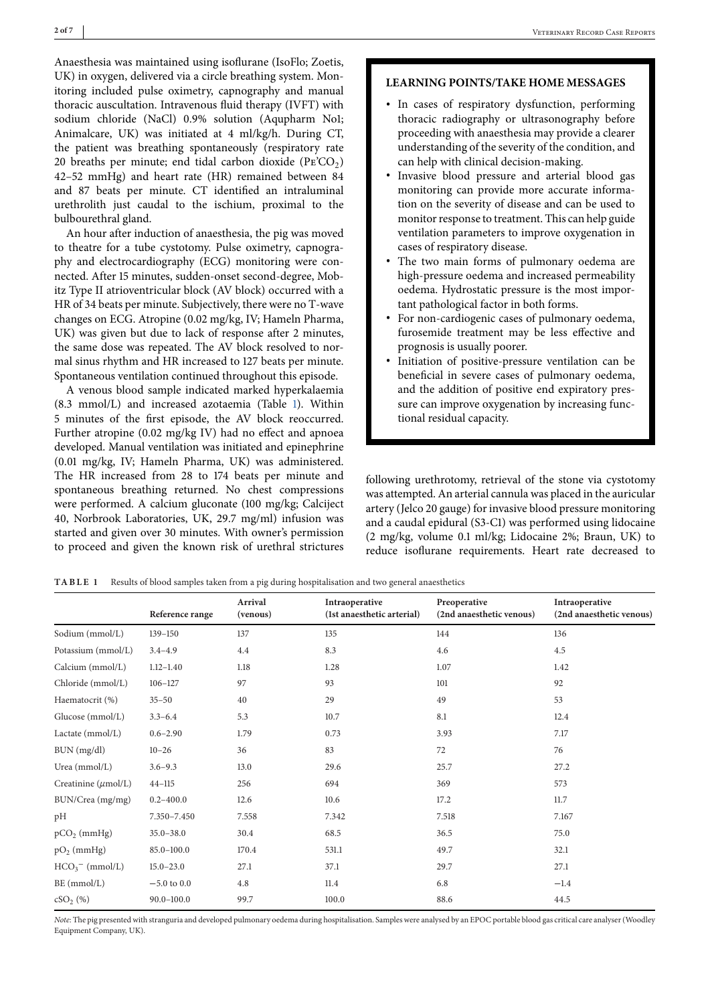<span id="page-1-0"></span>Anaesthesia was maintained using isoflurane (IsoFlo; Zoetis, UK) in oxygen, delivered via a circle breathing system. Monitoring included pulse oximetry, capnography and manual thoracic auscultation. Intravenous fluid therapy (IVFT) with sodium chloride (NaCl) 0.9% solution (Aqupharm No1; Animalcare, UK) was initiated at 4 ml/kg/h. During CT, the patient was breathing spontaneously (respiratory rate 20 breaths per minute; end tidal carbon dioxide  $(PE'CO<sub>2</sub>)$ 42–52 mmHg) and heart rate (HR) remained between 84 and 87 beats per minute. CT identified an intraluminal urethrolith just caudal to the ischium, proximal to the bulbourethral gland.

An hour after induction of anaesthesia, the pig was moved to theatre for a tube cystotomy. Pulse oximetry, capnography and electrocardiography (ECG) monitoring were connected. After 15 minutes, sudden-onset second-degree, Mobitz Type II atrioventricular block (AV block) occurred with a HR of 34 beats per minute. Subjectively, there were no T-wave changes on ECG. Atropine (0.02 mg/kg, IV; Hameln Pharma, UK) was given but due to lack of response after 2 minutes, the same dose was repeated. The AV block resolved to normal sinus rhythm and HR increased to 127 beats per minute. Spontaneous ventilation continued throughout this episode.

A venous blood sample indicated marked hyperkalaemia (8.3 mmol/L) and increased azotaemia (Table 1). Within 5 minutes of the first episode, the AV block reoccurred. Further atropine (0.02 mg/kg IV) had no effect and apnoea developed. Manual ventilation was initiated and epinephrine (0.01 mg/kg, IV; Hameln Pharma, UK) was administered. The HR increased from 28 to 174 beats per minute and spontaneous breathing returned. No chest compressions were performed. A calcium gluconate (100 mg/kg; Calciject 40, Norbrook Laboratories, UK, 29.7 mg/ml) infusion was started and given over 30 minutes. With owner's permission to proceed and given the known risk of urethral strictures

# **LEARNING POINTS/TAKE HOME MESSAGES**

- ∙ In cases of respiratory dysfunction, performing thoracic radiography or ultrasonography before proceeding with anaesthesia may provide a clearer understanding of the severity of the condition, and can help with clinical decision-making.
- ∙ Invasive blood pressure and arterial blood gas monitoring can provide more accurate information on the severity of disease and can be used to monitor response to treatment. This can help guide ventilation parameters to improve oxygenation in cases of respiratory disease.
- ∙ The two main forms of pulmonary oedema are high-pressure oedema and increased permeability oedema. Hydrostatic pressure is the most important pathological factor in both forms.
- ∙ For non-cardiogenic cases of pulmonary oedema, furosemide treatment may be less effective and prognosis is usually poorer.
- ∙ Initiation of positive-pressure ventilation can be beneficial in severe cases of pulmonary oedema, and the addition of positive end expiratory pressure can improve oxygenation by increasing functional residual capacity.

following urethrotomy, retrieval of the stone via cystotomy was attempted. An arterial cannula was placed in the auricular artery (Jelco 20 gauge) for invasive blood pressure monitoring and a caudal epidural (S3-C1) was performed using lidocaine (2 mg/kg, volume 0.1 ml/kg; Lidocaine 2%; Braun, UK) to reduce isoflurane requirements. Heart rate decreased to

**TABLE 1** Results of blood samples taken from a pig during hospitalisation and two general anaesthetics

|                                 | Reference range | Arrival<br>(venous) | Intraoperative<br>(1st anaesthetic arterial) | Preoperative<br>(2nd anaesthetic venous) | Intraoperative<br>(2nd anaesthetic venous) |
|---------------------------------|-----------------|---------------------|----------------------------------------------|------------------------------------------|--------------------------------------------|
| Sodium (mmol/L)                 | $139 - 150$     | 137                 | 135                                          | 144                                      | 136                                        |
| Potassium (mmol/L)              | $3.4 - 4.9$     | 4.4                 | 8.3                                          | 4.6                                      | 4.5                                        |
| Calcium (mmol/L)                | $1.12 - 1.40$   | 1.18                | 1.28                                         | 1.07                                     | 1.42                                       |
| Chloride (mmol/L)               | $106 - 127$     | 97                  | 93                                           | 101                                      | 92                                         |
| Haematocrit (%)                 | $35 - 50$       | 40                  | 29                                           | 49                                       | 53                                         |
| Glucose (mmol/L)                | $3.3 - 6.4$     | 5.3                 | 10.7                                         | 8.1                                      | 12.4                                       |
| Lactate (mmol/L)                | $0.6 - 2.90$    | 1.79                | 0.73                                         | 3.93                                     | 7.17                                       |
| BUN (mg/dl)                     | $10 - 26$       | 36                  | 83                                           | 72                                       | 76                                         |
| Urea (mmol/L)                   | $3.6 - 9.3$     | 13.0                | 29.6                                         | 25.7                                     | 27.2                                       |
| Creatinine $(\mu \text{mol/L})$ | $44 - 115$      | 256                 | 694                                          | 369                                      | 573                                        |
| BUN/Crea (mg/mg)                | $0.2 - 400.0$   | 12.6                | 10.6                                         | 17.2                                     | 11.7                                       |
| pН                              | 7.350-7.450     | 7.558               | 7.342                                        | 7.518                                    | 7.167                                      |
| $pCO2$ (mmHg)                   | $35.0 - 38.0$   | 30.4                | 68.5                                         | 36.5                                     | 75.0                                       |
| $pO2$ (mmHg)                    | 85.0-100.0      | 170.4               | 531.1                                        | 49.7                                     | 32.1                                       |
| $HCO3$ (mmol/L)                 | $15.0 - 23.0$   | 27.1                | 37.1                                         | 29.7                                     | 27.1                                       |
| BE (mmol/L)                     | $-5.0$ to $0.0$ | 4.8                 | 11.4                                         | 6.8                                      | $-1.4$                                     |
| $cSO_2(%)$                      | $90.0 - 100.0$  | 99.7                | 100.0                                        | 88.6                                     | 44.5                                       |

*Note*: The pig presented with stranguria and developed pulmonary oedema during hospitalisation. Samples were analysed by an EPOC portable blood gas critical care analyser (Woodley Equipment Company, UK).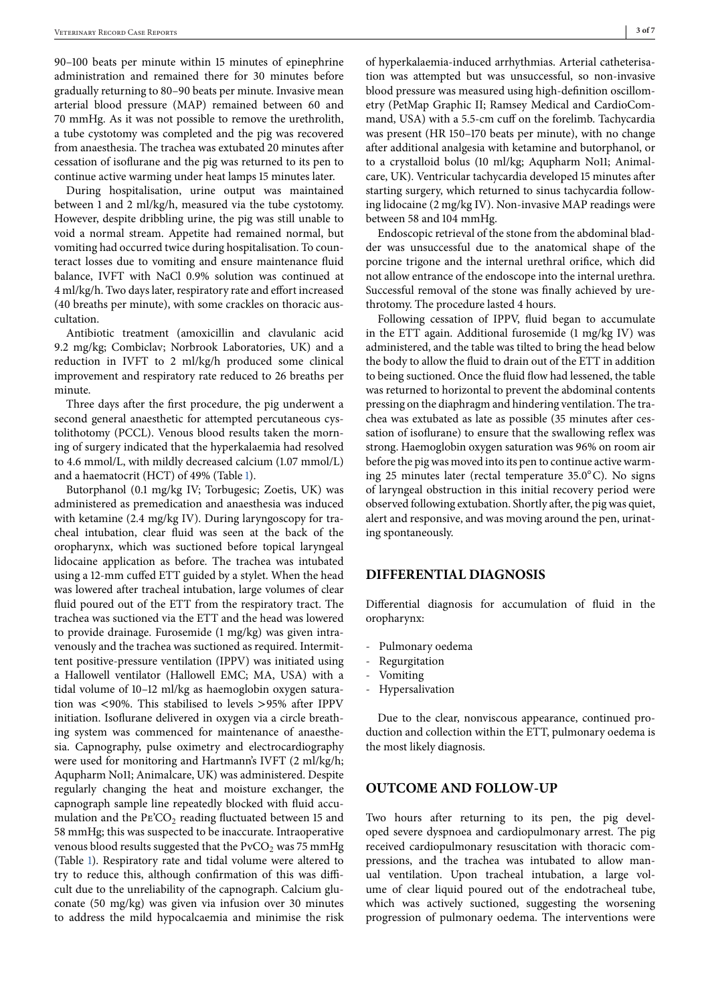90–100 beats per minute within 15 minutes of epinephrine administration and remained there for 30 minutes before gradually returning to 80–90 beats per minute. Invasive mean arterial blood pressure (MAP) remained between 60 and 70 mmHg. As it was not possible to remove the urethrolith, a tube cystotomy was completed and the pig was recovered from anaesthesia. The trachea was extubated 20 minutes after cessation of isoflurane and the pig was returned to its pen to continue active warming under heat lamps 15 minutes later.

During hospitalisation, urine output was maintained between 1 and 2 ml/kg/h, measured via the tube cystotomy. However, despite dribbling urine, the pig was still unable to void a normal stream. Appetite had remained normal, but vomiting had occurred twice during hospitalisation. To counteract losses due to vomiting and ensure maintenance fluid balance, IVFT with NaCl 0.9% solution was continued at 4 ml/kg/h. Two days later, respiratory rate and effort increased (40 breaths per minute), with some crackles on thoracic auscultation.

Antibiotic treatment (amoxicillin and clavulanic acid 9.2 mg/kg; Combiclav; Norbrook Laboratories, UK) and a reduction in IVFT to 2 ml/kg/h produced some clinical improvement and respiratory rate reduced to 26 breaths per minute.

Three days after the first procedure, the pig underwent a second general anaesthetic for attempted percutaneous cystolithotomy (PCCL). Venous blood results taken the morning of surgery indicated that the hyperkalaemia had resolved to 4.6 mmol/L, with mildly decreased calcium (1.07 mmol/L) and a haematocrit (HCT) of 49% (Table [1\)](#page-1-0).

Butorphanol (0.1 mg/kg IV; Torbugesic; Zoetis, UK) was administered as premedication and anaesthesia was induced with ketamine (2.4 mg/kg IV). During laryngoscopy for tracheal intubation, clear fluid was seen at the back of the oropharynx, which was suctioned before topical laryngeal lidocaine application as before. The trachea was intubated using a 12-mm cuffed ETT guided by a stylet. When the head was lowered after tracheal intubation, large volumes of clear fluid poured out of the ETT from the respiratory tract. The trachea was suctioned via the ETT and the head was lowered to provide drainage. Furosemide (1 mg/kg) was given intravenously and the trachea was suctioned as required. Intermittent positive-pressure ventilation (IPPV) was initiated using a Hallowell ventilator (Hallowell EMC; MA, USA) with a tidal volume of 10–12 ml/kg as haemoglobin oxygen saturation was <90%. This stabilised to levels >95% after IPPV initiation. Isoflurane delivered in oxygen via a circle breathing system was commenced for maintenance of anaesthesia. Capnography, pulse oximetry and electrocardiography were used for monitoring and Hartmann's IVFT (2 ml/kg/h; Aqupharm No11; Animalcare, UK) was administered. Despite regularly changing the heat and moisture exchanger, the capnograph sample line repeatedly blocked with fluid accumulation and the  $\text{Pe}^{\prime}\text{CO}_2$  reading fluctuated between 15 and 58 mmHg; this was suspected to be inaccurate. Intraoperative venous blood results suggested that the  $PvCO<sub>2</sub>$  was 75 mmHg (Table [1\)](#page-1-0). Respiratory rate and tidal volume were altered to try to reduce this, although confirmation of this was difficult due to the unreliability of the capnograph. Calcium gluconate (50 mg/kg) was given via infusion over 30 minutes to address the mild hypocalcaemia and minimise the risk of hyperkalaemia-induced arrhythmias. Arterial catheterisation was attempted but was unsuccessful, so non-invasive blood pressure was measured using high-definition oscillometry (PetMap Graphic II; Ramsey Medical and CardioCommand, USA) with a 5.5-cm cuff on the forelimb. Tachycardia was present (HR 150–170 beats per minute), with no change after additional analgesia with ketamine and butorphanol, or to a crystalloid bolus (10 ml/kg; Aqupharm No11; Animalcare, UK). Ventricular tachycardia developed 15 minutes after starting surgery, which returned to sinus tachycardia following lidocaine (2 mg/kg IV). Non-invasive MAP readings were between 58 and 104 mmHg.

Endoscopic retrieval of the stone from the abdominal bladder was unsuccessful due to the anatomical shape of the porcine trigone and the internal urethral orifice, which did not allow entrance of the endoscope into the internal urethra. Successful removal of the stone was finally achieved by urethrotomy. The procedure lasted 4 hours.

Following cessation of IPPV, fluid began to accumulate in the ETT again. Additional furosemide (1 mg/kg IV) was administered, and the table was tilted to bring the head below the body to allow the fluid to drain out of the ETT in addition to being suctioned. Once the fluid flow had lessened, the table was returned to horizontal to prevent the abdominal contents pressing on the diaphragm and hindering ventilation. The trachea was extubated as late as possible (35 minutes after cessation of isoflurane) to ensure that the swallowing reflex was strong. Haemoglobin oxygen saturation was 96% on room air before the pig was moved into its pen to continue active warming 25 minutes later (rectal temperature 35.0◦C). No signs of laryngeal obstruction in this initial recovery period were observed following extubation. Shortly after, the pig was quiet, alert and responsive, and was moving around the pen, urinating spontaneously.

## **DIFFERENTIAL DIAGNOSIS**

Differential diagnosis for accumulation of fluid in the oropharynx:

- Pulmonary oedema
- Regurgitation
- Vomiting
- **Hypersalivation**

Due to the clear, nonviscous appearance, continued production and collection within the ETT, pulmonary oedema is the most likely diagnosis.

# **OUTCOME AND FOLLOW-UP**

Two hours after returning to its pen, the pig developed severe dyspnoea and cardiopulmonary arrest. The pig received cardiopulmonary resuscitation with thoracic compressions, and the trachea was intubated to allow manual ventilation. Upon tracheal intubation, a large volume of clear liquid poured out of the endotracheal tube, which was actively suctioned, suggesting the worsening progression of pulmonary oedema. The interventions were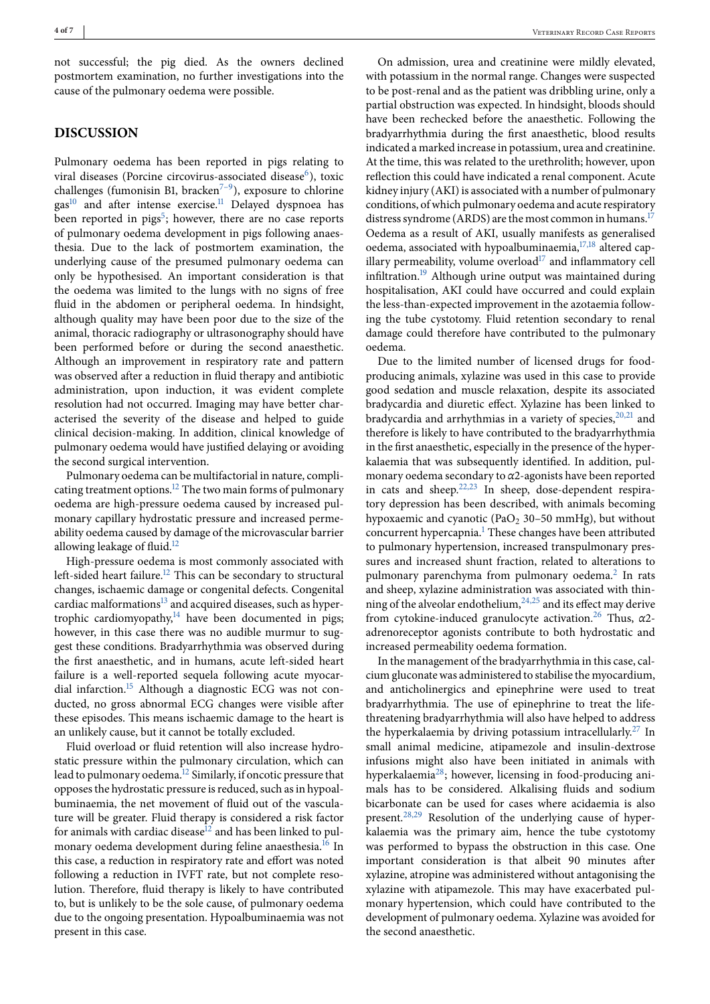not successful; the pig died. As the owners declined postmortem examination, no further investigations into the cause of the pulmonary oedema were possible.

# **DISCUSSION**

Pulmonary oedema has been reported in pigs relating to viral diseases (Porcine circovirus-associated disease $^6$ ), toxic challenges (fumonisin B1, bracken<sup> $7-9$ </sup>), exposure to chlorine gas<sup>10</sup> and after intense exercise.<sup>11</sup> Delayed dyspnoea has been reported in pigs<sup>5</sup>; however, there are no case reports of pulmonary oedema development in pigs following anaesthesia. Due to the lack of postmortem examination, the underlying cause of the presumed pulmonary oedema can only be hypothesised. An important consideration is that the oedema was limited to the lungs with no signs of free fluid in the abdomen or peripheral oedema. In hindsight, although quality may have been poor due to the size of the animal, thoracic radiography or ultrasonography should have been performed before or during the second anaesthetic. Although an improvement in respiratory rate and pattern was observed after a reduction in fluid therapy and antibiotic administration, upon induction, it was evident complete resolution had not occurred. Imaging may have better characterised the severity of the disease and helped to guide clinical decision-making. In addition, clinical knowledge of pulmonary oedema would have justified delaying or avoiding the second surgical intervention.

Pulmonary oedema can be multifactorial in nature, complicating treatment options[.12](#page-5-0) The two main forms of pulmonary oedema are high-pressure oedema caused by increased pulmonary capillary hydrostatic pressure and increased permeability oedema caused by damage of the microvascular barrier allowing leakage of fluid.<sup>[12](#page-5-0)</sup>

High-pressure oedema is most commonly associated with left-sided heart failure.<sup>[12](#page-5-0)</sup> This can be secondary to structural changes, ischaemic damage or congenital defects. Congenital cardiac malformations $^{13}$  $^{13}$  $^{13}$  and acquired diseases, such as hypertrophic cardiomyopathy, $14$  have been documented in pigs; however, in this case there was no audible murmur to suggest these conditions. Bradyarrhythmia was observed during the first anaesthetic, and in humans, acute left-sided heart failure is a well-reported sequela following acute myocardial infarction.<sup>15</sup> Although a diagnostic ECG was not conducted, no gross abnormal ECG changes were visible after these episodes. This means ischaemic damage to the heart is an unlikely cause, but it cannot be totally excluded.

Fluid overload or fluid retention will also increase hydrostatic pressure within the pulmonary circulation, which can lead to pulmonary oedema[.12](#page-5-0) Similarly, if oncotic pressure that opposes the hydrostatic pressure is reduced, such as in hypoalbuminaemia, the net movement of fluid out of the vasculature will be greater. Fluid therapy is considered a risk factor for animals with cardiac disease<sup>12</sup> and has been linked to pul-monary oedema development during feline anaesthesia.<sup>[16](#page-5-0)</sup> In this case, a reduction in respiratory rate and effort was noted following a reduction in IVFT rate, but not complete resolution. Therefore, fluid therapy is likely to have contributed to, but is unlikely to be the sole cause, of pulmonary oedema due to the ongoing presentation. Hypoalbuminaemia was not present in this case.

On admission, urea and creatinine were mildly elevated, with potassium in the normal range. Changes were suspected to be post-renal and as the patient was dribbling urine, only a partial obstruction was expected. In hindsight, bloods should have been rechecked before the anaesthetic. Following the bradyarrhythmia during the first anaesthetic, blood results indicated a marked increase in potassium, urea and creatinine. At the time, this was related to the urethrolith; however, upon reflection this could have indicated a renal component. Acute kidney injury (AKI) is associated with a number of pulmonary conditions, of which pulmonary oedema and acute respiratory distress syndrome (ARDS) are the most common in humans.<sup>[17](#page-5-0)</sup> Oedema as a result of AKI, usually manifests as generalised oedema, associated with hypoalbuminaemia,<sup>[17,18](#page-5-0)</sup> altered capillary permeability, volume overload $17$  and inflammatory cell infiltration.<sup>19</sup> Although urine output was maintained during hospitalisation, AKI could have occurred and could explain the less-than-expected improvement in the azotaemia following the tube cystotomy. Fluid retention secondary to renal damage could therefore have contributed to the pulmonary oedema.

Due to the limited number of licensed drugs for foodproducing animals, xylazine was used in this case to provide good sedation and muscle relaxation, despite its associated bradycardia and diuretic effect. Xylazine has been linked to bradycardia and arrhythmias in a variety of species,  $20,21$  and therefore is likely to have contributed to the bradyarrhythmia in the first anaesthetic, especially in the presence of the hyperkalaemia that was subsequently identified. In addition, pulmonary oedema secondary to *α*2-agonists have been reported in cats and sheep.<sup>22,23</sup> In sheep, dose-dependent respiratory depression has been described, with animals becoming hypoxaemic and cyanotic (PaO<sub>2</sub> 30–50 mmHg), but without concurrent hypercapnia[.1](#page-5-0) These changes have been attributed to pulmonary hypertension, increased transpulmonary pressures and increased shunt fraction, related to alterations to pulmonary parenchyma from pulmonary oedema.<sup>[2](#page-5-0)</sup> In rats and sheep, xylazine administration was associated with thinning of the alveolar endothelium[,24,25](#page-5-0) and its effect may derive from cytokine-induced granulocyte activation[.26](#page-5-0) Thus, *α*2 adrenoreceptor agonists contribute to both hydrostatic and increased permeability oedema formation.

In the management of the bradyarrhythmia in this case, calcium gluconate was administered to stabilise the myocardium, and anticholinergics and epinephrine were used to treat bradyarrhythmia. The use of epinephrine to treat the lifethreatening bradyarrhythmia will also have helped to address the hyperkalaemia by driving potassium intracellularly.<sup>27</sup> In small animal medicine, atipamezole and insulin-dextrose infusions might also have been initiated in animals with hyperkalaemia[28;](#page-5-0) however, licensing in food-producing animals has to be considered. Alkalising fluids and sodium bicarbonate can be used for cases where acidaemia is also present[.28,29](#page-5-0) Resolution of the underlying cause of hyperkalaemia was the primary aim, hence the tube cystotomy was performed to bypass the obstruction in this case. One important consideration is that albeit 90 minutes after xylazine, atropine was administered without antagonising the xylazine with atipamezole. This may have exacerbated pulmonary hypertension, which could have contributed to the development of pulmonary oedema. Xylazine was avoided for the second anaesthetic.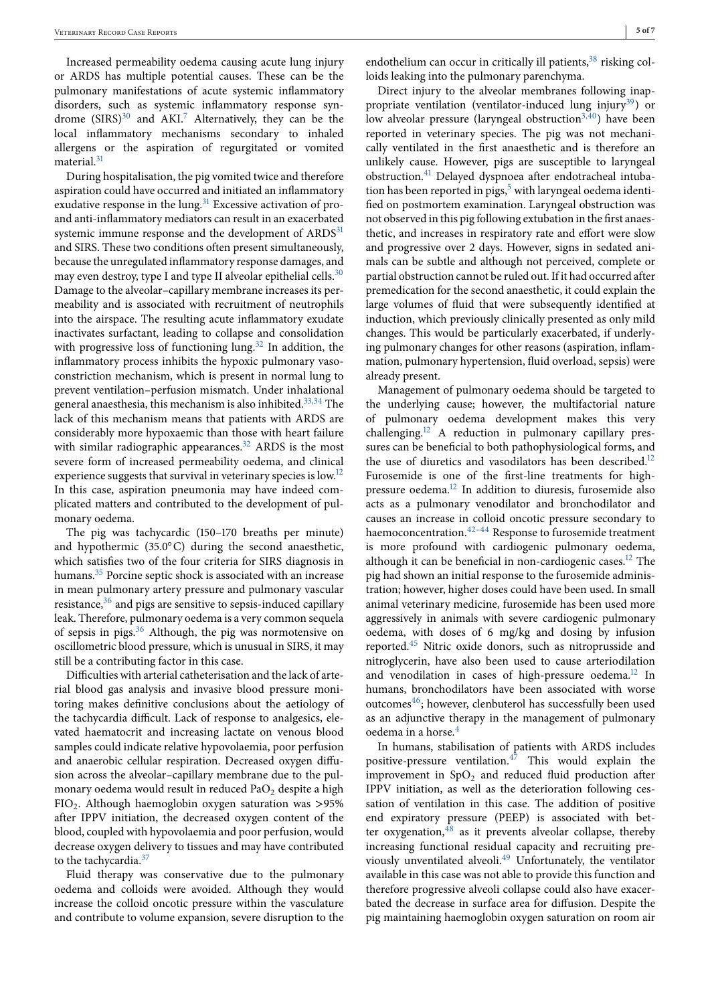Increased permeability oedema causing acute lung injury or ARDS has multiple potential causes. These can be the pulmonary manifestations of acute systemic inflammatory disorders, such as systemic inflammatory response syndrome  $(SIRS)^{30}$  $(SIRS)^{30}$  $(SIRS)^{30}$  and  $AKI<sup>7</sup>$  Alternatively, they can be the local inflammatory mechanisms secondary to inhaled allergens or the aspiration of regurgitated or vomited material.<sup>31</sup>

During hospitalisation, the pig vomited twice and therefore aspiration could have occurred and initiated an inflammatory exudative response in the lung. $31$  Excessive activation of proand anti-inflammatory mediators can result in an exacerbated systemic immune response and the development of ARDS<sup>[31](#page-5-0)</sup> and SIRS. These two conditions often present simultaneously, because the unregulated inflammatory response damages, and may even destroy, type I and type II alveolar epithelial cells. $30$ Damage to the alveolar–capillary membrane increases its permeability and is associated with recruitment of neutrophils into the airspace. The resulting acute inflammatory exudate inactivates surfactant, leading to collapse and consolidation with progressive loss of functioning lung.<sup>32</sup> In addition, the inflammatory process inhibits the hypoxic pulmonary vasoconstriction mechanism, which is present in normal lung to prevent ventilation–perfusion mismatch. Under inhalational general anaesthesia, this mechanism is also inhibited.<sup>33,34</sup> The lack of this mechanism means that patients with ARDS are considerably more hypoxaemic than those with heart failure with similar radiographic appearances. $32$  ARDS is the most severe form of increased permeability oedema, and clinical experience suggests that survival in veterinary species is low.<sup>12</sup> In this case, aspiration pneumonia may have indeed complicated matters and contributed to the development of pulmonary oedema.

The pig was tachycardic (150–170 breaths per minute) and hypothermic (35.0◦C) during the second anaesthetic, which satisfies two of the four criteria for SIRS diagnosis in humans.<sup>35</sup> Porcine septic shock is associated with an increase in mean pulmonary artery pressure and pulmonary vascular resistance, $36$  and pigs are sensitive to sepsis-induced capillary leak. Therefore, pulmonary oedema is a very common sequela of sepsis in pigs. $36$  Although, the pig was normotensive on oscillometric blood pressure, which is unusual in SIRS, it may still be a contributing factor in this case.

Difficulties with arterial catheterisation and the lack of arterial blood gas analysis and invasive blood pressure monitoring makes definitive conclusions about the aetiology of the tachycardia difficult. Lack of response to analgesics, elevated haematocrit and increasing lactate on venous blood samples could indicate relative hypovolaemia, poor perfusion and anaerobic cellular respiration. Decreased oxygen diffusion across the alveolar–capillary membrane due to the pulmonary oedema would result in reduced Pa $O<sub>2</sub>$  despite a high  $FIO<sub>2</sub>$ . Although haemoglobin oxygen saturation was >95% after IPPV initiation, the decreased oxygen content of the blood, coupled with hypovolaemia and poor perfusion, would decrease oxygen delivery to tissues and may have contributed to the tachycardia.<sup>[37](#page-5-0)</sup>

Fluid therapy was conservative due to the pulmonary oedema and colloids were avoided. Although they would increase the colloid oncotic pressure within the vasculature and contribute to volume expansion, severe disruption to the

Direct injury to the alveolar membranes following inappropriate ventilation (ventilator-induced lung injury<sup>39</sup>) or low alveolar pressure (laryngeal obstruction<sup>3,40</sup>) have been reported in veterinary species. The pig was not mechanically ventilated in the first anaesthetic and is therefore an unlikely cause. However, pigs are susceptible to laryngeal obstruction.[41](#page-6-0) Delayed dyspnoea after endotracheal intubation has been reported in pigs, $5$  with laryngeal oedema identified on postmortem examination. Laryngeal obstruction was not observed in this pig following extubation in the first anaesthetic, and increases in respiratory rate and effort were slow and progressive over 2 days. However, signs in sedated animals can be subtle and although not perceived, complete or partial obstruction cannot be ruled out. If it had occurred after premedication for the second anaesthetic, it could explain the large volumes of fluid that were subsequently identified at induction, which previously clinically presented as only mild changes. This would be particularly exacerbated, if underlying pulmonary changes for other reasons (aspiration, inflammation, pulmonary hypertension, fluid overload, sepsis) were already present.

Management of pulmonary oedema should be targeted to the underlying cause; however, the multifactorial nature of pulmonary oedema development makes this very challenging.<sup>[12](#page-5-0)</sup> A reduction in pulmonary capillary pressures can be beneficial to both pathophysiological forms, and the use of diuretics and vasodilators has been described.<sup>12</sup> Furosemide is one of the first-line treatments for highpressure oedema[.12](#page-5-0) In addition to diuresis, furosemide also acts as a pulmonary venodilator and bronchodilator and causes an increase in colloid oncotic pressure secondary to haemoconcentration.<sup>42–44</sup> Response to furosemide treatment is more profound with cardiogenic pulmonary oedema, although it can be beneficial in non-cardiogenic cases.<sup>[12](#page-5-0)</sup> The pig had shown an initial response to the furosemide administration; however, higher doses could have been used. In small animal veterinary medicine, furosemide has been used more aggressively in animals with severe cardiogenic pulmonary oedema, with doses of 6 mg/kg and dosing by infusion reported[.45](#page-6-0) Nitric oxide donors, such as nitroprusside and nitroglycerin, have also been used to cause arteriodilation and venodilation in cases of high-pressure oedema.<sup>12</sup> In humans, bronchodilators have been associated with worse outcomes $46$ ; however, clenbuterol has successfully been used as an adjunctive therapy in the management of pulmonary oedema in a horse.[4](#page-5-0)

In humans, stabilisation of patients with ARDS includes positive-pressure ventilation. $4\overline{7}$  This would explain the improvement in  $SpO<sub>2</sub>$  and reduced fluid production after IPPV initiation, as well as the deterioration following cessation of ventilation in this case. The addition of positive end expiratory pressure (PEEP) is associated with better oxygenation, $48$  as it prevents alveolar collapse, thereby increasing functional residual capacity and recruiting pre-viously unventilated alveoli.<sup>[49](#page-6-0)</sup> Unfortunately, the ventilator available in this case was not able to provide this function and therefore progressive alveoli collapse could also have exacerbated the decrease in surface area for diffusion. Despite the pig maintaining haemoglobin oxygen saturation on room air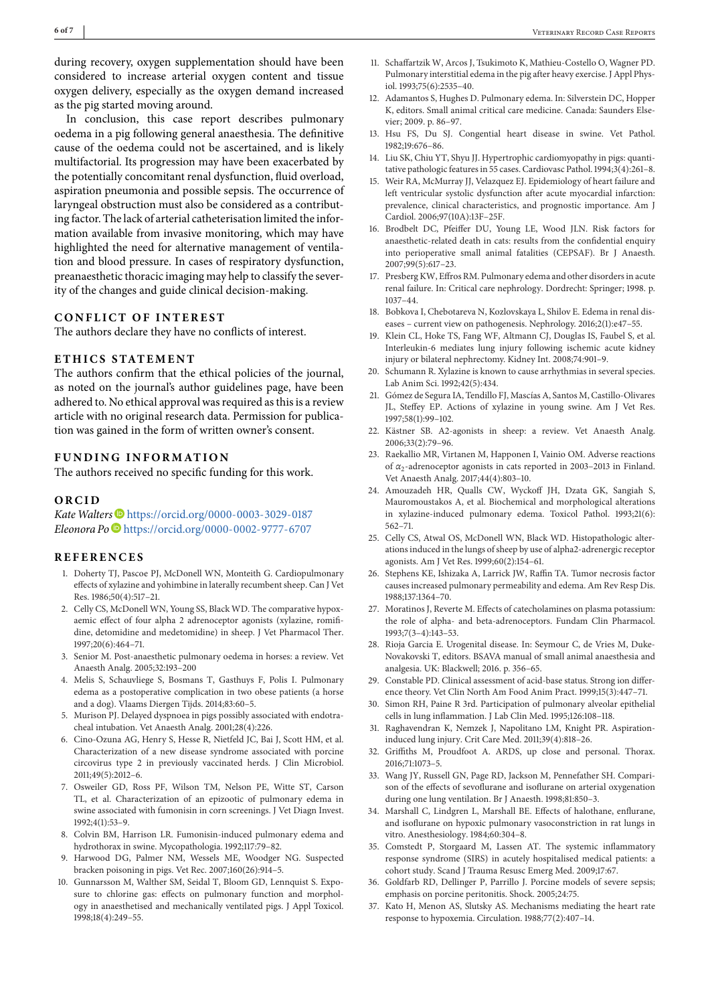<span id="page-5-0"></span>during recovery, oxygen supplementation should have been considered to increase arterial oxygen content and tissue oxygen delivery, especially as the oxygen demand increased as the pig started moving around.

In conclusion, this case report describes pulmonary oedema in a pig following general anaesthesia. The definitive cause of the oedema could not be ascertained, and is likely multifactorial. Its progression may have been exacerbated by the potentially concomitant renal dysfunction, fluid overload, aspiration pneumonia and possible sepsis. The occurrence of laryngeal obstruction must also be considered as a contributing factor. The lack of arterial catheterisation limited the information available from invasive monitoring, which may have highlighted the need for alternative management of ventilation and blood pressure. In cases of respiratory dysfunction, preanaesthetic thoracic imaging may help to classify the severity of the changes and guide clinical decision-making.

## **CONFLICT OF INTEREST**

The authors declare they have no conflicts of interest.

## **ETHICS STATEMENT**

The authors confirm that the ethical policies of the journal, as noted on the journal's author guidelines page, have been adhered to. No ethical approval was required as this is a review article with no original research data. Permission for publication was gained in the form of written owner's consent.

## **FUNDING INFORMATION**

The authors received no specific funding for this work.

## **ORCID**

Kate Walters<sup>®</sup> <https://orcid.org/0000-0003-3029-0187> *Eleonora Po* <https://orcid.org/0000-0002-9777-6707>

## **REFERENCES**

- 1. Doherty TJ, Pascoe PJ, McDonell WN, Monteith G. Cardiopulmonary effects of xylazine and yohimbine in laterally recumbent sheep. Can J Vet Res. 1986;50(4):517–21.
- 2. Celly CS, McDonell WN, Young SS, Black WD. The comparative hypoxaemic effect of four alpha 2 adrenoceptor agonists (xylazine, romifidine, detomidine and medetomidine) in sheep. J Vet Pharmacol Ther. 1997;20(6):464–71.
- 3. Senior M. Post-anaesthetic pulmonary oedema in horses: a review. Vet Anaesth Analg. 2005;32:193–200
- 4. Melis S, Schauvliege S, Bosmans T, Gasthuys F, Polis I. Pulmonary edema as a postoperative complication in two obese patients (a horse and a dog). Vlaams Diergen Tijds. 2014;83:60–5.
- 5. Murison PJ. Delayed dyspnoea in pigs possibly associated with endotracheal intubation. Vet Anaesth Analg. 2001;28(4):226.
- 6. Cino-Ozuna AG, Henry S, Hesse R, Nietfeld JC, Bai J, Scott HM, et al. Characterization of a new disease syndrome associated with porcine circovirus type 2 in previously vaccinated herds. J Clin Microbiol. 2011;49(5):2012–6.
- 7. Osweiler GD, Ross PF, Wilson TM, Nelson PE, Witte ST, Carson TL, et al. Characterization of an epizootic of pulmonary edema in swine associated with fumonisin in corn screenings. J Vet Diagn Invest. 1992;4(1):53–9.
- 8. Colvin BM, Harrison LR. Fumonisin-induced pulmonary edema and hydrothorax in swine. Mycopathologia. 1992;117:79–82.
- 9. Harwood DG, Palmer NM, Wessels ME, Woodger NG. Suspected bracken poisoning in pigs. Vet Rec. 2007;160(26):914–5.
- 10. Gunnarsson M, Walther SM, Seidal T, Bloom GD, Lennquist S. Exposure to chlorine gas: effects on pulmonary function and morphology in anaesthetised and mechanically ventilated pigs. J Appl Toxicol. 1998;18(4):249–55.
- 11. Schaffartzik W, Arcos J, Tsukimoto K, Mathieu-Costello O, Wagner PD. Pulmonary interstitial edema in the pig after heavy exercise. J Appl Physiol. 1993;75(6):2535–40.
- 12. Adamantos S, Hughes D. Pulmonary edema. In: Silverstein DC, Hopper K, editors. Small animal critical care medicine. Canada: Saunders Elsevier; 2009. p. 86–97.
- 13. Hsu FS, Du SJ. Congential heart disease in swine. Vet Pathol. 1982;19:676–86.
- 14. Liu SK, Chiu YT, Shyu JJ. Hypertrophic cardiomyopathy in pigs: quantitative pathologic features in 55 cases. Cardiovasc Pathol. 1994;3(4):261–8.
- 15. Weir RA, McMurray JJ, Velazquez EJ. Epidemiology of heart failure and left ventricular systolic dysfunction after acute myocardial infarction: prevalence, clinical characteristics, and prognostic importance. Am J Cardiol. 2006;97(10A):13F–25F.
- 16. Brodbelt DC, Pfeiffer DU, Young LE, Wood JLN. Risk factors for anaesthetic-related death in cats: results from the confidential enquiry into perioperative small animal fatalities (CEPSAF). Br J Anaesth. 2007;99(5):617–23.
- 17. Presberg KW, Effros RM. Pulmonary edema and other disorders in acute renal failure. In: Critical care nephrology. Dordrecht: Springer; 1998. p. 1037–44.
- 18. Bobkova I, Chebotareva N, Kozlovskaya L, Shilov E. Edema in renal diseases – current view on pathogenesis. Nephrology. 2016;2(1):e47–55.
- 19. Klein CL, Hoke TS, Fang WF, Altmann CJ, Douglas IS, Faubel S, et al. Interleukin-6 mediates lung injury following ischemic acute kidney injury or bilateral nephrectomy. Kidney Int. 2008;74:901–9.
- 20. Schumann R. Xylazine is known to cause arrhythmias in several species. Lab Anim Sci. 1992;42(5):434.
- 21. Gómez de Segura IA, Tendillo FJ, Mascías A, Santos M, Castillo-Olivares JL, Steffey EP. Actions of xylazine in young swine. Am J Vet Res. 1997;58(1):99–102.
- 22. Kästner SB. A2-agonists in sheep: a review. Vet Anaesth Analg. 2006;33(2):79–96.
- 23. Raekallio MR, Virtanen M, Happonen I, Vainio OM. Adverse reactions of *α*2-adrenoceptor agonists in cats reported in 2003–2013 in Finland. Vet Anaesth Analg. 2017;44(4):803–10.
- 24. Amouzadeh HR, Qualls CW, Wyckoff JH, Dzata GK, Sangiah S, Mauromoustakos A, et al. Biochemical and morphological alterations in xylazine-induced pulmonary edema. Toxicol Pathol. 1993;21(6): 562–71.
- 25. Celly CS, Atwal OS, McDonell WN, Black WD. Histopathologic alterations induced in the lungs of sheep by use of alpha2-adrenergic receptor agonists. Am J Vet Res. 1999;60(2):154–61.
- 26. Stephens KE, Ishizaka A, Larrick JW, Raffin TA. Tumor necrosis factor causes increased pulmonary permeability and edema. Am Rev Resp Dis. 1988;137:1364–70.
- 27. Moratinos J, Reverte M. Effects of catecholamines on plasma potassium: the role of alpha- and beta-adrenoceptors. Fundam Clin Pharmacol. 1993;7(3–4):143–53.
- 28. Rioja Garcia E. Urogenital disease. In: Seymour C, de Vries M, Duke-Novakovski T, editors. BSAVA manual of small animal anaesthesia and analgesia. UK: Blackwell; 2016. p. 356–65.
- 29. Constable PD. Clinical assessment of acid-base status. Strong ion difference theory. Vet Clin North Am Food Anim Pract. 1999;15(3):447–71.
- 30. Simon RH, Paine R 3rd. Participation of pulmonary alveolar epithelial cells in lung inflammation. J Lab Clin Med. 1995;126:108–118.
- 31. Raghavendran K, Nemzek J, Napolitano LM, Knight PR. Aspirationinduced lung injury. Crit Care Med. 2011;39(4):818–26.
- 32. Griffiths M, Proudfoot A. ARDS, up close and personal. Thorax. 2016;71:1073–5.
- 33. Wang JY, Russell GN, Page RD, Jackson M, Pennefather SH. Comparison of the effects of sevoflurane and isoflurane on arterial oxygenation during one lung ventilation. Br J Anaesth. 1998;81:850–3.
- 34. Marshall C, Lindgren L, Marshall BE. Effects of halothane, enflurane, and isoflurane on hypoxic pulmonary vasoconstriction in rat lungs in vitro. Anesthesiology. 1984;60:304–8.
- 35. Comstedt P, Storgaard M, Lassen AT. The systemic inflammatory response syndrome (SIRS) in acutely hospitalised medical patients: a cohort study. Scand J Trauma Resusc Emerg Med. 2009;17:67.
- 36. Goldfarb RD, Dellinger P, Parrillo J. Porcine models of severe sepsis; emphasis on porcine peritonitis. Shock. 2005;24:75.
- 37. Kato H, Menon AS, Slutsky AS. Mechanisms mediating the heart rate response to hypoxemia. Circulation. 1988;77(2):407–14.